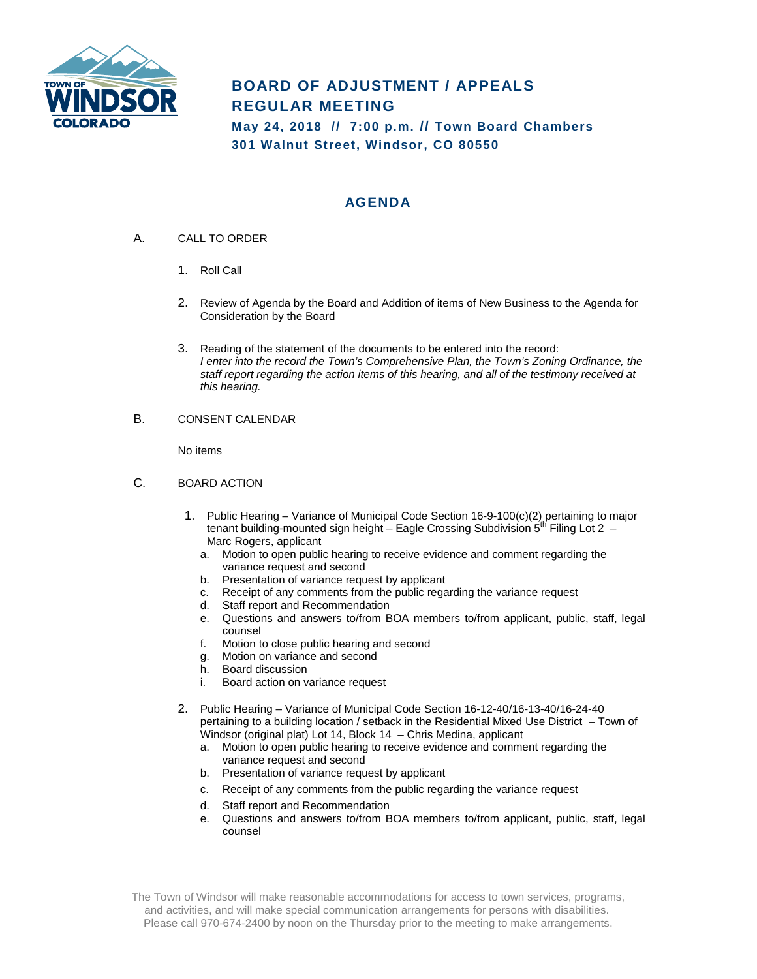

## **BOARD OF ADJUSTMENT / APPEALS REGULAR MEETING**

**May 24, 2018 // 7:00 p.m. // Town Board Chambers 301 Walnut Street, Windsor, CO 80550**

## **AGENDA**

- A. CALL TO ORDER
	- 1. Roll Call
	- 2. Review of Agenda by the Board and Addition of items of New Business to the Agenda for Consideration by the Board
	- 3. Reading of the statement of the documents to be entered into the record: *I enter into the record the Town's Comprehensive Plan, the Town's Zoning Ordinance, the staff report regarding the action items of this hearing, and all of the testimony received at this hearing.*
- B. CONSENT CALENDAR

No items

- C. BOARD ACTION
	- 1. Public Hearing Variance of Municipal Code Section 16-9-100(c)(2) pertaining to major tenant building-mounted sign height – Eagle Crossing Subdivision 5<sup>th</sup> Filing Lot 2 – Marc Rogers, applicant
		- a. Motion to open public hearing to receive evidence and comment regarding the variance request and second
		- b. Presentation of variance request by applicant
		- c. Receipt of any comments from the public regarding the variance request
		- d. Staff report and Recommendation
		- e. Questions and answers to/from BOA members to/from applicant, public, staff, legal counsel
		- f. Motion to close public hearing and second
		- g. Motion on variance and second
		- h. Board discussion
		- i. Board action on variance request
	- 2. Public Hearing Variance of Municipal Code Section 16-12-40/16-13-40/16-24-40 pertaining to a building location / setback in the Residential Mixed Use District – Town of Windsor (original plat) Lot 14, Block 14 – Chris Medina, applicant
		- a. Motion to open public hearing to receive evidence and comment regarding the variance request and second
		- b. Presentation of variance request by applicant
		- c. Receipt of any comments from the public regarding the variance request
		- d. Staff report and Recommendation
		- e. Questions and answers to/from BOA members to/from applicant, public, staff, legal counsel

The Town of Windsor will make reasonable accommodations for access to town services, programs, and activities, and will make special communication arrangements for persons with disabilities. Please call 970-674-2400 by noon on the Thursday prior to the meeting to make arrangements.